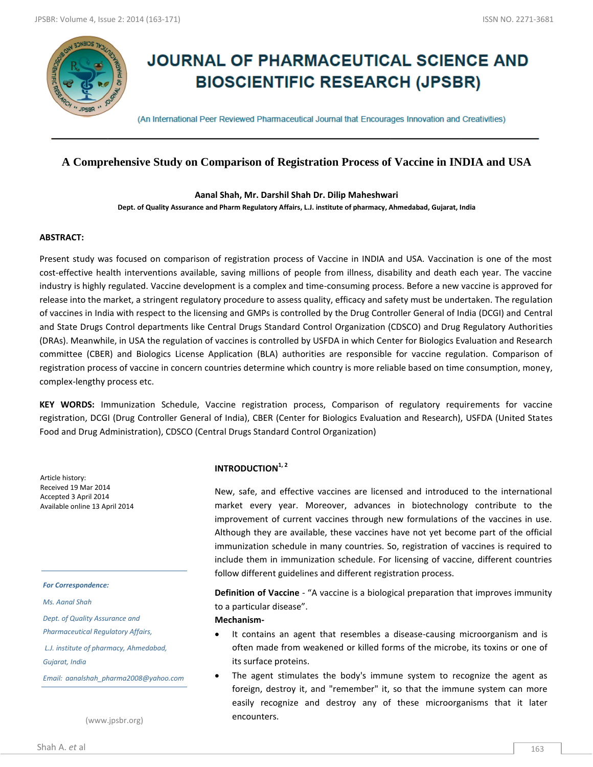

# **JOURNAL OF PHARMACEUTICAL SCIENCE AND BIOSCIENTIFIC RESEARCH (JPSBR)**

(An International Peer Reviewed Pharmaceutical Journal that Encourages Innovation and Creativities)

# **A Comprehensive Study on Comparison of Registration Process of Vaccine in INDIA and USA**

**Aanal Shah, Mr. Darshil Shah Dr. Dilip Maheshwari Dept. of Quality Assurance and Pharm Regulatory Affairs, L.J. institute of pharmacy, Ahmedabad, Gujarat, India**

#### **ABSTRACT:**

Present study was focused on comparison of registration process of Vaccine in INDIA and USA. Vaccination is one of the most cost-effective health interventions available, saving millions of people from illness, disability and death each year. The vaccine industry is highly regulated. Vaccine development is a complex and time-consuming process. Before a new vaccine is approved for release into the market, a stringent regulatory procedure to assess quality, efficacy and safety must be undertaken. The regulation of vaccines in India with respect to the licensing and GMPs is controlled by the Drug Controller General of India (DCGI) and Central and State Drugs Control departments like Central Drugs Standard Control Organization (CDSCO) and Drug Regulatory Authorities (DRAs). Meanwhile, in USA the regulation of vaccines is controlled by USFDA in which Center for Biologics Evaluation and Research committee (CBER) and Biologics License Application (BLA) authorities are responsible for vaccine regulation. Comparison of registration process of vaccine in concern countries determine which country is more reliable based on time consumption, money, complex-lengthy process etc.

**KEY WORDS:** Immunization Schedule, Vaccine registration process, Comparison of regulatory requirements for vaccine registration, DCGI (Drug Controller General of India), CBER (Center for Biologics Evaluation and Research), USFDA (United States Food and Drug Administration), CDSCO (Central Drugs Standard Control Organization)

Article history: Received 19 Mar 2014 Accepted 3 April 2014 Available online 13 April 2014

#### *For Correspondence:*

*Ms. Aanal Shah*

*Dept. of Quality Assurance and* 

*Pharmaceutical Regulatory Affairs,*

*L.J. institute of pharmacy, Ahmedabad,* 

*Gujarat, India*

*Email: aanalshah\_pharma2008@yahoo.com*

(www.jpsbr.org)

### **INTRODUCTION1, 2**

New, safe, and effective vaccines are licensed and introduced to the international market every year. Moreover, advances in biotechnology contribute to the improvement of current vaccines through new formulations of the vaccines in use. Although they are available, these vaccines have not yet become part of the official immunization schedule in many countries. So, registration of vaccines is required to include them in immunization schedule. For licensing of vaccine, different countries follow different guidelines and different registration process.

**Definition of Vaccine** - "A vaccine is a biological preparation that improves immunity to a particular disease".

#### **Mechanism-**

- It contains an agent that resembles a disease-causing microorganism and is often made from weakened or killed forms of the microbe, its toxins or one of its surface proteins.
- The agent stimulates the body's immune system to recognize the agent as foreign, destroy it, and "remember" it, so that the immune system can more easily recognize and destroy any of these microorganisms that it later encounters.

Shah A. *et* al 163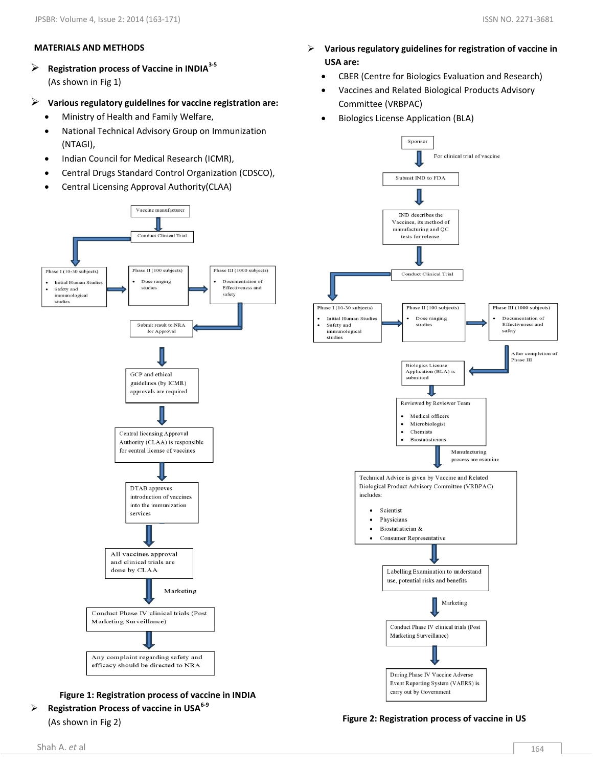# **MATERIALS AND METHODS**

 **Registration process of Vaccine in INDIA3-5** (As shown in Fig 1)

# **Various regulatory guidelines for vaccine registration are:**

- Ministry of Health and Family Welfare,
- National Technical Advisory Group on Immunization (NTAGI),
- Indian Council for Medical Research (ICMR),
- Central Drugs Standard Control Organization (CDSCO),
- Central Licensing Approval Authority(CLAA)



 **Registration Process of vaccine in USA6-9** (As shown in Fig 2)

- **Various regulatory guidelines for registration of vaccine in USA are:**
	- CBER (Centre for Biologics Evaluation and Research)
	- Vaccines and Related Biological Products Advisory Committee (VRBPAC)
	- Biologics License Application (BLA)



**Figure 2: Registration process of vaccine in US**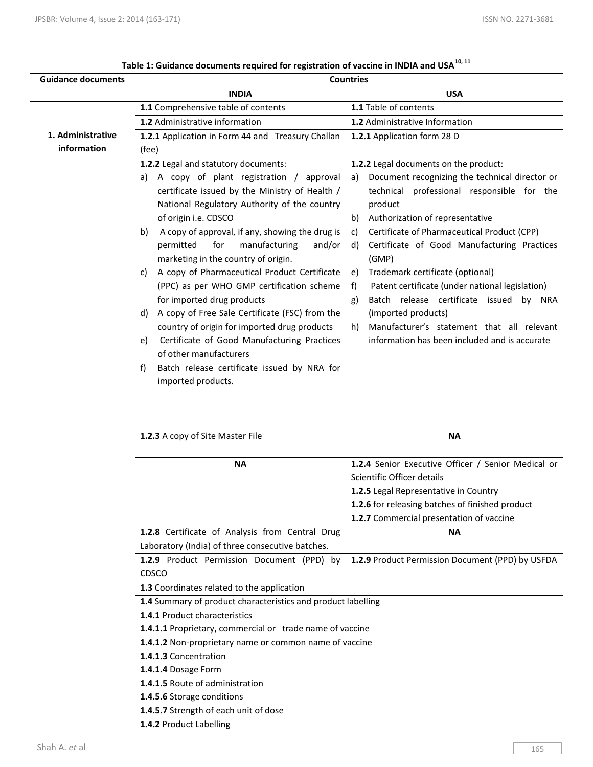| <b>Guidance documents</b> | <b>Countries</b>                                                                                                                                                                                                                                                                                                                                                                                                                                                                                                                                                                                                                                                                                                          |                                                                                                                                                                                                                                                                                                                                                                                                                                                                                                                                                           |
|---------------------------|---------------------------------------------------------------------------------------------------------------------------------------------------------------------------------------------------------------------------------------------------------------------------------------------------------------------------------------------------------------------------------------------------------------------------------------------------------------------------------------------------------------------------------------------------------------------------------------------------------------------------------------------------------------------------------------------------------------------------|-----------------------------------------------------------------------------------------------------------------------------------------------------------------------------------------------------------------------------------------------------------------------------------------------------------------------------------------------------------------------------------------------------------------------------------------------------------------------------------------------------------------------------------------------------------|
|                           | <b>INDIA</b>                                                                                                                                                                                                                                                                                                                                                                                                                                                                                                                                                                                                                                                                                                              | <b>USA</b>                                                                                                                                                                                                                                                                                                                                                                                                                                                                                                                                                |
|                           | 1.1 Comprehensive table of contents                                                                                                                                                                                                                                                                                                                                                                                                                                                                                                                                                                                                                                                                                       | 1.1 Table of contents                                                                                                                                                                                                                                                                                                                                                                                                                                                                                                                                     |
|                           | 1.2 Administrative information                                                                                                                                                                                                                                                                                                                                                                                                                                                                                                                                                                                                                                                                                            | 1.2 Administrative Information                                                                                                                                                                                                                                                                                                                                                                                                                                                                                                                            |
| 1. Administrative         | 1.2.1 Application in Form 44 and Treasury Challan                                                                                                                                                                                                                                                                                                                                                                                                                                                                                                                                                                                                                                                                         | 1.2.1 Application form 28 D                                                                                                                                                                                                                                                                                                                                                                                                                                                                                                                               |
| information               | (fee)                                                                                                                                                                                                                                                                                                                                                                                                                                                                                                                                                                                                                                                                                                                     |                                                                                                                                                                                                                                                                                                                                                                                                                                                                                                                                                           |
|                           | 1.2.2 Legal and statutory documents:                                                                                                                                                                                                                                                                                                                                                                                                                                                                                                                                                                                                                                                                                      | 1.2.2 Legal documents on the product:                                                                                                                                                                                                                                                                                                                                                                                                                                                                                                                     |
|                           | A copy of plant registration / approval<br>a)<br>certificate issued by the Ministry of Health /<br>National Regulatory Authority of the country<br>of origin i.e. CDSCO<br>A copy of approval, if any, showing the drug is<br>b)<br>for<br>manufacturing<br>and/or<br>permitted<br>marketing in the country of origin.<br>A copy of Pharmaceutical Product Certificate<br>C)<br>(PPC) as per WHO GMP certification scheme<br>for imported drug products<br>A copy of Free Sale Certificate (FSC) from the<br>d)<br>country of origin for imported drug products<br>Certificate of Good Manufacturing Practices<br>e)<br>of other manufacturers<br>Batch release certificate issued by NRA for<br>f)<br>imported products. | Document recognizing the technical director or<br>a)<br>technical professional responsible for the<br>product<br>Authorization of representative<br>b)<br>Certificate of Pharmaceutical Product (CPP)<br>C)<br>Certificate of Good Manufacturing Practices<br>d)<br>(GMP)<br>Trademark certificate (optional)<br>e)<br>Patent certificate (under national legislation)<br>f)<br>Batch release certificate issued by NRA<br>g)<br>(imported products)<br>Manufacturer's statement that all relevant<br>h)<br>information has been included and is accurate |
|                           | 1.2.3 A copy of Site Master File                                                                                                                                                                                                                                                                                                                                                                                                                                                                                                                                                                                                                                                                                          | <b>NA</b>                                                                                                                                                                                                                                                                                                                                                                                                                                                                                                                                                 |
|                           | <b>NA</b>                                                                                                                                                                                                                                                                                                                                                                                                                                                                                                                                                                                                                                                                                                                 | 1.2.4 Senior Executive Officer / Senior Medical or                                                                                                                                                                                                                                                                                                                                                                                                                                                                                                        |
|                           |                                                                                                                                                                                                                                                                                                                                                                                                                                                                                                                                                                                                                                                                                                                           | Scientific Officer details                                                                                                                                                                                                                                                                                                                                                                                                                                                                                                                                |
|                           |                                                                                                                                                                                                                                                                                                                                                                                                                                                                                                                                                                                                                                                                                                                           | 1.2.5 Legal Representative in Country                                                                                                                                                                                                                                                                                                                                                                                                                                                                                                                     |
|                           |                                                                                                                                                                                                                                                                                                                                                                                                                                                                                                                                                                                                                                                                                                                           | 1.2.6 for releasing batches of finished product                                                                                                                                                                                                                                                                                                                                                                                                                                                                                                           |
|                           |                                                                                                                                                                                                                                                                                                                                                                                                                                                                                                                                                                                                                                                                                                                           | 1.2.7 Commercial presentation of vaccine                                                                                                                                                                                                                                                                                                                                                                                                                                                                                                                  |
|                           | 1.2.8 Certificate of Analysis from Central Drug                                                                                                                                                                                                                                                                                                                                                                                                                                                                                                                                                                                                                                                                           | <b>NA</b>                                                                                                                                                                                                                                                                                                                                                                                                                                                                                                                                                 |
|                           | Laboratory (India) of three consecutive batches.                                                                                                                                                                                                                                                                                                                                                                                                                                                                                                                                                                                                                                                                          |                                                                                                                                                                                                                                                                                                                                                                                                                                                                                                                                                           |
|                           | 1.2.9 Product Permission Document (PPD) by                                                                                                                                                                                                                                                                                                                                                                                                                                                                                                                                                                                                                                                                                | 1.2.9 Product Permission Document (PPD) by USFDA                                                                                                                                                                                                                                                                                                                                                                                                                                                                                                          |
|                           | CDSCO                                                                                                                                                                                                                                                                                                                                                                                                                                                                                                                                                                                                                                                                                                                     |                                                                                                                                                                                                                                                                                                                                                                                                                                                                                                                                                           |
|                           | 1.3 Coordinates related to the application                                                                                                                                                                                                                                                                                                                                                                                                                                                                                                                                                                                                                                                                                |                                                                                                                                                                                                                                                                                                                                                                                                                                                                                                                                                           |
|                           | 1.4 Summary of product characteristics and product labelling                                                                                                                                                                                                                                                                                                                                                                                                                                                                                                                                                                                                                                                              |                                                                                                                                                                                                                                                                                                                                                                                                                                                                                                                                                           |
|                           | 1.4.1 Product characteristics                                                                                                                                                                                                                                                                                                                                                                                                                                                                                                                                                                                                                                                                                             |                                                                                                                                                                                                                                                                                                                                                                                                                                                                                                                                                           |
|                           | 1.4.1.1 Proprietary, commercial or trade name of vaccine                                                                                                                                                                                                                                                                                                                                                                                                                                                                                                                                                                                                                                                                  |                                                                                                                                                                                                                                                                                                                                                                                                                                                                                                                                                           |
|                           | 1.4.1.2 Non-proprietary name or common name of vaccine                                                                                                                                                                                                                                                                                                                                                                                                                                                                                                                                                                                                                                                                    |                                                                                                                                                                                                                                                                                                                                                                                                                                                                                                                                                           |
|                           | 1.4.1.3 Concentration                                                                                                                                                                                                                                                                                                                                                                                                                                                                                                                                                                                                                                                                                                     |                                                                                                                                                                                                                                                                                                                                                                                                                                                                                                                                                           |
|                           | 1.4.1.4 Dosage Form                                                                                                                                                                                                                                                                                                                                                                                                                                                                                                                                                                                                                                                                                                       |                                                                                                                                                                                                                                                                                                                                                                                                                                                                                                                                                           |
|                           | 1.4.1.5 Route of administration<br>1.4.5.6 Storage conditions                                                                                                                                                                                                                                                                                                                                                                                                                                                                                                                                                                                                                                                             |                                                                                                                                                                                                                                                                                                                                                                                                                                                                                                                                                           |
|                           | 1.4.5.7 Strength of each unit of dose                                                                                                                                                                                                                                                                                                                                                                                                                                                                                                                                                                                                                                                                                     |                                                                                                                                                                                                                                                                                                                                                                                                                                                                                                                                                           |
|                           | 1.4.2 Product Labelling                                                                                                                                                                                                                                                                                                                                                                                                                                                                                                                                                                                                                                                                                                   |                                                                                                                                                                                                                                                                                                                                                                                                                                                                                                                                                           |

| Table 1: Guidance documents required for registration of vaccine in INDIA and USA <sup>10, 11</sup> |
|-----------------------------------------------------------------------------------------------------|
|-----------------------------------------------------------------------------------------------------|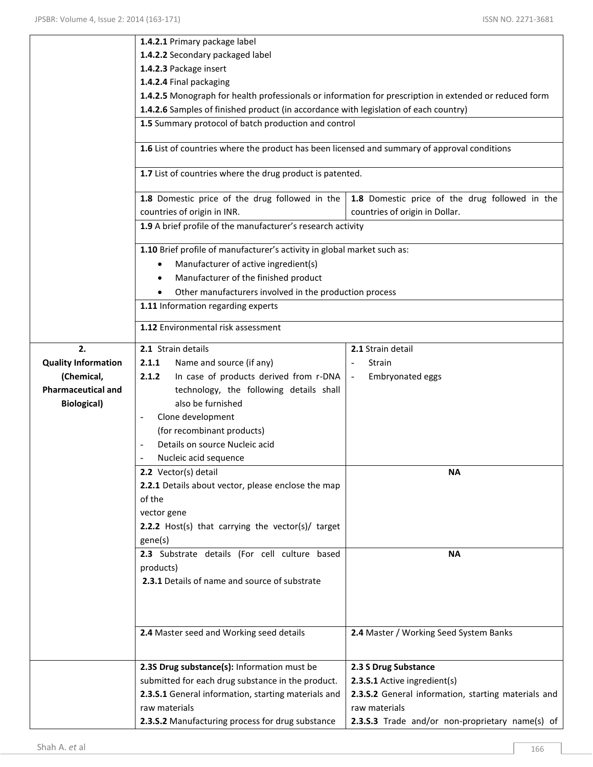|                            | 1.4.2.1 Primary package label                                                                          |                                                     |  |
|----------------------------|--------------------------------------------------------------------------------------------------------|-----------------------------------------------------|--|
|                            | 1.4.2.2 Secondary packaged label                                                                       |                                                     |  |
|                            | 1.4.2.3 Package insert                                                                                 |                                                     |  |
|                            | 1.4.2.4 Final packaging                                                                                |                                                     |  |
|                            | 1.4.2.5 Monograph for health professionals or information for prescription in extended or reduced form |                                                     |  |
|                            | 1.4.2.6 Samples of finished product (in accordance with legislation of each country)                   |                                                     |  |
|                            | 1.5 Summary protocol of batch production and control                                                   |                                                     |  |
|                            |                                                                                                        |                                                     |  |
|                            | 1.6 List of countries where the product has been licensed and summary of approval conditions           |                                                     |  |
|                            | 1.7 List of countries where the drug product is patented.                                              |                                                     |  |
|                            | 1.8 Domestic price of the drug followed in the                                                         | 1.8 Domestic price of the drug followed in the      |  |
|                            | countries of origin in INR.                                                                            | countries of origin in Dollar.                      |  |
|                            | 1.9 A brief profile of the manufacturer's research activity                                            |                                                     |  |
|                            |                                                                                                        |                                                     |  |
|                            | 1.10 Brief profile of manufacturer's activity in global market such as:                                |                                                     |  |
|                            | Manufacturer of active ingredient(s)                                                                   |                                                     |  |
|                            | Manufacturer of the finished product                                                                   |                                                     |  |
|                            | Other manufacturers involved in the production process                                                 |                                                     |  |
|                            | 1.11 Information regarding experts                                                                     |                                                     |  |
|                            |                                                                                                        |                                                     |  |
|                            | 1.12 Environmental risk assessment                                                                     |                                                     |  |
| 2.                         | 2.1 Strain details                                                                                     | 2.1 Strain detail                                   |  |
| <b>Quality Information</b> | 2.1.1<br>Name and source (if any)                                                                      | Strain<br>$\blacksquare$                            |  |
| (Chemical,                 | In case of products derived from r-DNA<br>2.1.2                                                        | Embryonated eggs<br>$\blacksquare$                  |  |
| <b>Pharmaceutical and</b>  | technology, the following details shall                                                                |                                                     |  |
| <b>Biological</b> )        | also be furnished                                                                                      |                                                     |  |
|                            | Clone development                                                                                      |                                                     |  |
|                            | (for recombinant products)                                                                             |                                                     |  |
|                            | Details on source Nucleic acid<br>$\blacksquare$                                                       |                                                     |  |
|                            | Nucleic acid sequence                                                                                  |                                                     |  |
|                            | <b>2.2</b> Vector(s) detail                                                                            | ΝA                                                  |  |
|                            | 2.2.1 Details about vector, please enclose the map                                                     |                                                     |  |
|                            | of the                                                                                                 |                                                     |  |
|                            | vector gene                                                                                            |                                                     |  |
|                            | 2.2.2 Host(s) that carrying the vector(s)/ target                                                      |                                                     |  |
|                            | gene(s)                                                                                                |                                                     |  |
|                            | 2.3 Substrate details (For cell culture based                                                          | <b>NA</b>                                           |  |
|                            | products)                                                                                              |                                                     |  |
|                            | 2.3.1 Details of name and source of substrate                                                          |                                                     |  |
|                            |                                                                                                        |                                                     |  |
|                            |                                                                                                        |                                                     |  |
|                            |                                                                                                        |                                                     |  |
|                            | 2.4 Master seed and Working seed details                                                               | 2.4 Master / Working Seed System Banks              |  |
|                            |                                                                                                        |                                                     |  |
|                            | 2.3S Drug substance(s): Information must be                                                            | 2.3 S Drug Substance                                |  |
|                            | submitted for each drug substance in the product.                                                      | 2.3.S.1 Active ingredient(s)                        |  |
|                            | 2.3.S.1 General information, starting materials and                                                    | 2.3.S.2 General information, starting materials and |  |
|                            | raw materials                                                                                          | raw materials                                       |  |
|                            | 2.3.S.2 Manufacturing process for drug substance                                                       | 2.3.S.3 Trade and/or non-proprietary name(s) of     |  |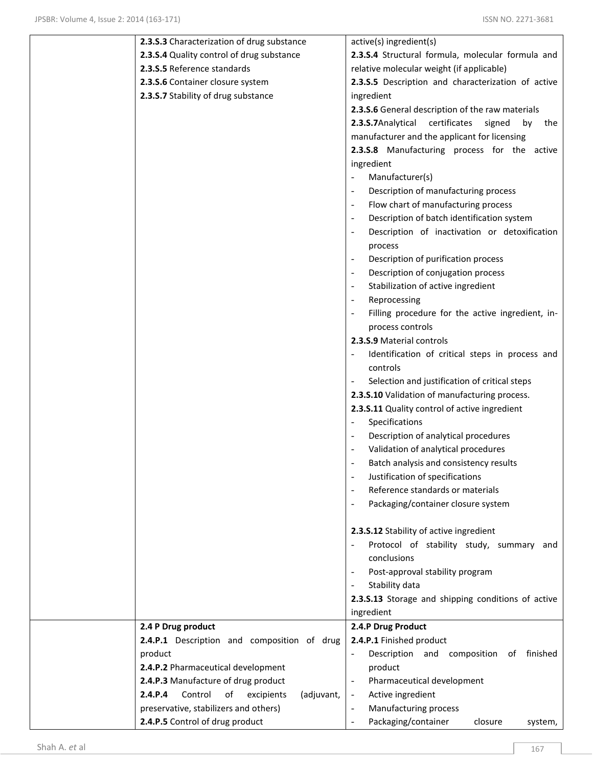| 2.3.S.3 Characterization of drug substance           | active(s) ingredient(s)                               |
|------------------------------------------------------|-------------------------------------------------------|
| 2.3.S.4 Quality control of drug substance            | 2.3.S.4 Structural formula, molecular formula and     |
| 2.3.S.5 Reference standards                          | relative molecular weight (if applicable)             |
| 2.3.S.6 Container closure system                     | 2.3.S.5 Description and characterization of active    |
| 2.3.S.7 Stability of drug substance                  | ingredient                                            |
|                                                      | 2.3.S.6 General description of the raw materials      |
|                                                      | 2.3.S.7Analytical<br>certificates<br>signed<br>by the |
|                                                      | manufacturer and the applicant for licensing          |
|                                                      | 2.3.S.8 Manufacturing process for the active          |
|                                                      | ingredient                                            |
|                                                      | Manufacturer(s)                                       |
|                                                      | Description of manufacturing process                  |
|                                                      | Flow chart of manufacturing process                   |
|                                                      | Description of batch identification system            |
|                                                      | Description of inactivation or detoxification         |
|                                                      | process                                               |
|                                                      | Description of purification process<br>$\overline{a}$ |
|                                                      | Description of conjugation process                    |
|                                                      | Stabilization of active ingredient                    |
|                                                      | Reprocessing                                          |
|                                                      | Filling procedure for the active ingredient, in-      |
|                                                      | process controls                                      |
|                                                      | 2.3.S.9 Material controls                             |
|                                                      | Identification of critical steps in process and       |
|                                                      | controls                                              |
|                                                      | Selection and justification of critical steps         |
|                                                      | 2.3.S.10 Validation of manufacturing process.         |
|                                                      | 2.3.S.11 Quality control of active ingredient         |
|                                                      | Specifications<br>$\blacksquare$                      |
|                                                      | Description of analytical procedures                  |
|                                                      | Validation of analytical procedures                   |
|                                                      | Batch analysis and consistency results                |
|                                                      | Justification of specifications                       |
|                                                      | Reference standards or materials                      |
|                                                      | Packaging/container closure system                    |
|                                                      |                                                       |
|                                                      | 2.3.S.12 Stability of active ingredient               |
|                                                      | Protocol of stability study, summary and              |
|                                                      | conclusions                                           |
|                                                      | Post-approval stability program                       |
|                                                      | Stability data                                        |
|                                                      | 2.3.S.13 Storage and shipping conditions of active    |
|                                                      | ingredient                                            |
| 2.4 P Drug product                                   | 2.4.P Drug Product                                    |
| 2.4.P.1 Description and composition of drug          | 2.4.P.1 Finished product                              |
| product                                              | Description and<br>composition<br>of finished         |
| 2.4.P.2 Pharmaceutical development                   | product                                               |
| 2.4.P.3 Manufacture of drug product                  | Pharmaceutical development                            |
| 2.4.P.4<br>Control<br>of<br>excipients<br>(adjuvant, | Active ingredient<br>$\blacksquare$                   |
| preservative, stabilizers and others)                | Manufacturing process                                 |
| 2.4.P.5 Control of drug product                      | Packaging/container<br>closure<br>system,             |
|                                                      |                                                       |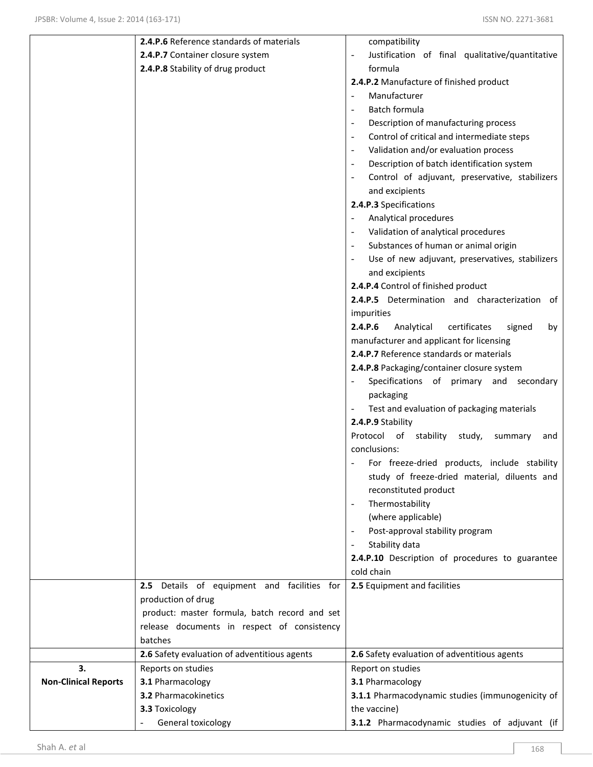|                             | 2.4.P.6 Reference standards of materials      | compatibility                                                     |
|-----------------------------|-----------------------------------------------|-------------------------------------------------------------------|
|                             | 2.4.P.7 Container closure system              | Justification of final qualitative/quantitative<br>$\blacksquare$ |
|                             | 2.4.P.8 Stability of drug product             | formula                                                           |
|                             |                                               | 2.4.P.2 Manufacture of finished product                           |
|                             |                                               | Manufacturer                                                      |
|                             |                                               | Batch formula                                                     |
|                             |                                               | Description of manufacturing process                              |
|                             |                                               | Control of critical and intermediate steps                        |
|                             |                                               | Validation and/or evaluation process                              |
|                             |                                               | Description of batch identification system                        |
|                             |                                               | Control of adjuvant, preservative, stabilizers                    |
|                             |                                               | and excipients                                                    |
|                             |                                               | 2.4.P.3 Specifications                                            |
|                             |                                               | Analytical procedures                                             |
|                             |                                               | Validation of analytical procedures                               |
|                             |                                               | Substances of human or animal origin                              |
|                             |                                               | Use of new adjuvant, preservatives, stabilizers                   |
|                             |                                               | and excipients                                                    |
|                             |                                               | 2.4.P.4 Control of finished product                               |
|                             |                                               | 2.4.P.5 Determination and characterization<br>of                  |
|                             |                                               | impurities                                                        |
|                             |                                               | 2.4.P.6<br>Analytical<br>certificates<br>signed<br>by             |
|                             |                                               | manufacturer and applicant for licensing                          |
|                             |                                               | 2.4.P.7 Reference standards or materials                          |
|                             |                                               | 2.4.P.8 Packaging/container closure system                        |
|                             |                                               | Specifications of primary and<br>secondary                        |
|                             |                                               | packaging                                                         |
|                             |                                               | Test and evaluation of packaging materials                        |
|                             |                                               | 2.4.P.9 Stability                                                 |
|                             |                                               | Protocol of stability<br>study,<br>summary<br>and                 |
|                             |                                               | conclusions:                                                      |
|                             |                                               | For freeze-dried products, include stability                      |
|                             |                                               | study of freeze-dried material, diluents and                      |
|                             |                                               | reconstituted product                                             |
|                             |                                               | Thermostability                                                   |
|                             |                                               | (where applicable)                                                |
|                             |                                               | Post-approval stability program                                   |
|                             |                                               | Stability data                                                    |
|                             |                                               | 2.4.P.10 Description of procedures to guarantee                   |
|                             |                                               | cold chain                                                        |
|                             | 2.5 Details of equipment and facilities for   | 2.5 Equipment and facilities                                      |
|                             | production of drug                            |                                                                   |
|                             | product: master formula, batch record and set |                                                                   |
|                             | release documents in respect of consistency   |                                                                   |
|                             | batches                                       |                                                                   |
|                             | 2.6 Safety evaluation of adventitious agents  | 2.6 Safety evaluation of adventitious agents                      |
| 3.                          | Reports on studies                            | Report on studies                                                 |
| <b>Non-Clinical Reports</b> | 3.1 Pharmacology                              | 3.1 Pharmacology                                                  |
|                             | <b>3.2 Pharmacokinetics</b>                   | 3.1.1 Pharmacodynamic studies (immunogenicity of                  |
|                             | 3.3 Toxicology                                | the vaccine)                                                      |
|                             | General toxicology                            | 3.1.2 Pharmacodynamic studies of adjuvant (if                     |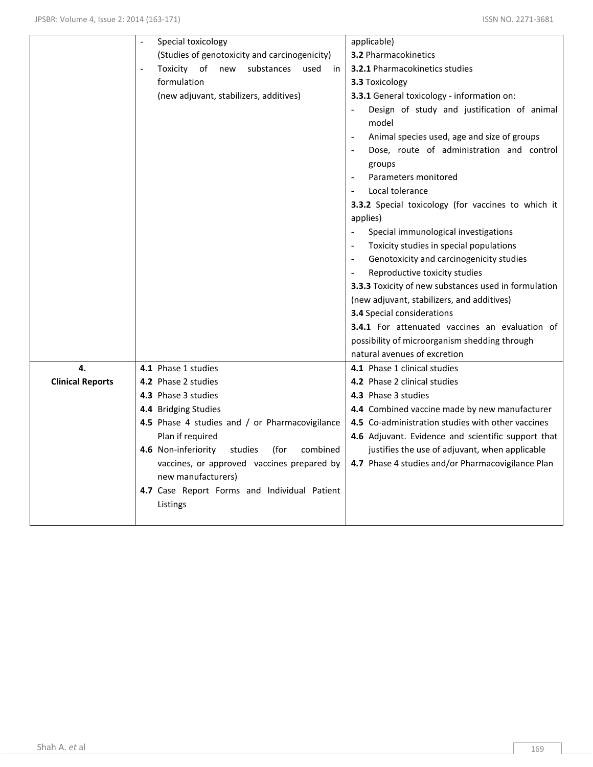|                         | Special toxicology<br>$\overline{a}$               | applicable)                                                          |
|-------------------------|----------------------------------------------------|----------------------------------------------------------------------|
|                         | (Studies of genotoxicity and carcinogenicity)      | <b>3.2 Pharmacokinetics</b>                                          |
|                         | Toxicity of<br>substances used<br>new<br>in        | 3.2.1 Pharmacokinetics studies                                       |
|                         | formulation                                        | 3.3 Toxicology                                                       |
|                         | (new adjuvant, stabilizers, additives)             | 3.3.1 General toxicology - information on:                           |
|                         |                                                    | Design of study and justification of animal<br>model                 |
|                         |                                                    | Animal species used, age and size of groups                          |
|                         |                                                    | Dose, route of administration and control                            |
|                         |                                                    | groups                                                               |
|                         |                                                    | Parameters monitored<br>$\overline{\phantom{a}}$                     |
|                         |                                                    | Local tolerance                                                      |
|                         |                                                    | 3.3.2 Special toxicology (for vaccines to which it                   |
|                         |                                                    | applies)                                                             |
|                         |                                                    | Special immunological investigations                                 |
|                         |                                                    | Toxicity studies in special populations                              |
|                         |                                                    | Genotoxicity and carcinogenicity studies<br>$\overline{\phantom{a}}$ |
|                         |                                                    | Reproductive toxicity studies                                        |
|                         |                                                    | 3.3.3 Toxicity of new substances used in formulation                 |
|                         |                                                    | (new adjuvant, stabilizers, and additives)                           |
|                         |                                                    | 3.4 Special considerations                                           |
|                         |                                                    | 3.4.1 For attenuated vaccines an evaluation of                       |
|                         |                                                    | possibility of microorganism shedding through                        |
|                         |                                                    | natural avenues of excretion                                         |
| 4.                      | 4.1 Phase 1 studies                                | 4.1 Phase 1 clinical studies                                         |
| <b>Clinical Reports</b> | 4.2 Phase 2 studies                                | 4.2 Phase 2 clinical studies                                         |
|                         | 4.3 Phase 3 studies                                | 4.3 Phase 3 studies                                                  |
|                         | 4.4 Bridging Studies                               | 4.4 Combined vaccine made by new manufacturer                        |
|                         | 4.5 Phase 4 studies and / or Pharmacovigilance     | 4.5 Co-administration studies with other vaccines                    |
|                         | Plan if required                                   | 4.6 Adjuvant. Evidence and scientific support that                   |
|                         | 4.6 Non-inferiority<br>studies<br>(for<br>combined | justifies the use of adjuvant, when applicable                       |
|                         | vaccines, or approved vaccines prepared by         | 4.7 Phase 4 studies and/or Pharmacovigilance Plan                    |
|                         | new manufacturers)                                 |                                                                      |
|                         | 4.7 Case Report Forms and Individual Patient       |                                                                      |
|                         | Listings                                           |                                                                      |
|                         |                                                    |                                                                      |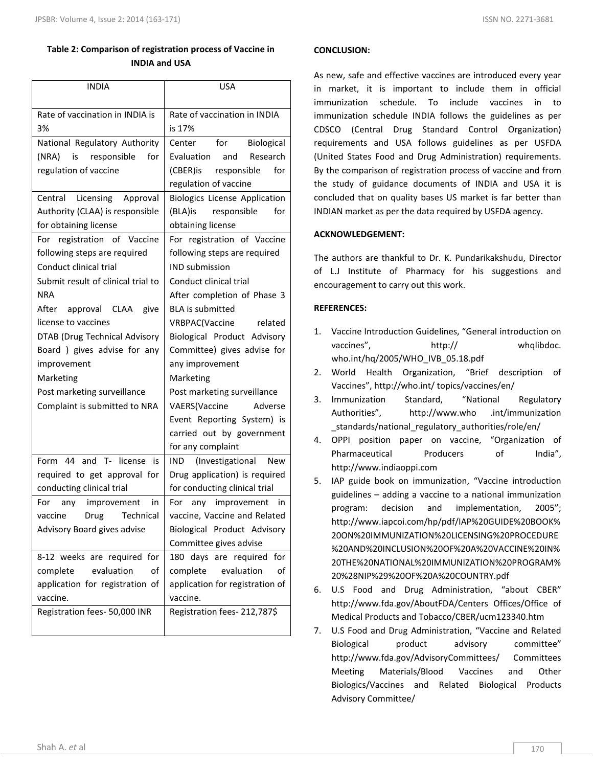# **Table 2: Comparison of registration process of Vaccine in INDIA and USA**

| <b>INDIA</b>                                                                                                                                                                                                                                                                                                                                          | USA                                                                                                                                                                                                                                                                                                                                                                                                                                            |
|-------------------------------------------------------------------------------------------------------------------------------------------------------------------------------------------------------------------------------------------------------------------------------------------------------------------------------------------------------|------------------------------------------------------------------------------------------------------------------------------------------------------------------------------------------------------------------------------------------------------------------------------------------------------------------------------------------------------------------------------------------------------------------------------------------------|
| Rate of vaccination in INDIA is<br>3%                                                                                                                                                                                                                                                                                                                 | Rate of vaccination in INDIA<br>is 17%                                                                                                                                                                                                                                                                                                                                                                                                         |
| National Regulatory Authority<br>(NRA)<br>responsible<br>for<br>is<br>regulation of vaccine                                                                                                                                                                                                                                                           | Center<br>for<br><b>Biological</b><br>Evaluation and<br>Research<br>(CBER)is responsible<br>for<br>regulation of vaccine                                                                                                                                                                                                                                                                                                                       |
| Licensing<br>Central<br>Approval<br>Authority (CLAA) is responsible<br>for obtaining license                                                                                                                                                                                                                                                          | <b>Biologics License Application</b><br>(BLA)is<br>responsible<br>for<br>obtaining license                                                                                                                                                                                                                                                                                                                                                     |
| For registration of Vaccine<br>following steps are required<br>Conduct clinical trial<br>Submit result of clinical trial to<br>NRA<br>After approval CLAA<br>give<br>license to vaccines<br>DTAB (Drug Technical Advisory<br>Board ) gives advise for any<br>improvement<br>Marketing<br>Post marketing surveillance<br>Complaint is submitted to NRA | For registration of Vaccine<br>following steps are required<br><b>IND submission</b><br>Conduct clinical trial<br>After completion of Phase 3<br><b>BLA</b> is submitted<br>VRBPAC(Vaccine<br>related<br>Biological Product Advisory<br>Committee) gives advise for<br>any improvement<br>Marketing<br>Post marketing surveillance<br>VAERS(Vaccine<br>Adverse<br>Event Reporting System) is<br>carried out by government<br>for any complaint |
| Form 44 and T- license is<br>required to get approval for<br>conducting clinical trial<br>For<br>any improvement<br>in<br>vaccine<br>Drug<br>Technical<br>Advisory Board gives advise                                                                                                                                                                 | (Investigational<br><b>IND</b><br><b>New</b><br>Drug application) is required<br>for conducting clinical trial<br>For<br>any improvement<br>in<br>vaccine, Vaccine and Related<br>Biological Product Advisory<br>Committee gives advise                                                                                                                                                                                                        |
| 8-12 weeks are required for<br>evaluation<br>οf<br>complete<br>application for registration of                                                                                                                                                                                                                                                        | 180 days are required for<br>evaluation<br>complete<br>of<br>application for registration of                                                                                                                                                                                                                                                                                                                                                   |

## **CONCLUSION:**

As new, safe and effective vaccines are introduced every year in market, it is important to include them in official immunization schedule. To include vaccines in to immunization schedule INDIA follows the guidelines as per CDSCO (Central Drug Standard Control Organization) requirements and USA follows guidelines as per USFDA (United States Food and Drug Administration) requirements. By the comparison of registration process of vaccine and from the study of guidance documents of INDIA and USA it is concluded that on quality bases US market is far better than INDIAN market as per the data required by USFDA agency.

## **ACKNOWLEDGEMENT:**

The authors are thankful to Dr. K. Pundarikakshudu, Director of L.J Institute of Pharmacy for his suggestions and encouragement to carry out this work.

## **REFERENCES:**

- 1. Vaccine Introduction Guidelines, "General introduction on vaccines", http:// whqlibdoc. who.int/hq/2005/WHO\_IVB\_05.18.pdf
- 2. World Health Organization, "Brief description of Vaccines", http://who.int/ topics/vaccines/en/
- 3. Immunization Standard, "National Regulatory Authorities", http://www.who .int/immunization \_standards/national\_regulatory\_authorities/role/en/
- 4. OPPI position paper on vaccine, "Organization of Pharmaceutical Producers of India", http://www.indiaoppi.com
- 5. IAP guide book on immunization, "Vaccine introduction guidelines – adding a vaccine to a national immunization program: decision and implementation, 2005"; http://www.iapcoi.com/hp/pdf/IAP%20GUIDE%20BOOK% 20ON%20IMMUNIZATION%20LICENSING%20PROCEDURE %20AND%20INCLUSION%20OF%20A%20VACCINE%20IN% 20THE%20NATIONAL%20IMMUNIZATION%20PROGRAM% 20%28NIP%29%20OF%20A%20COUNTRY.pdf
- 6. U.S Food and Drug Administration, "about CBER" http://www.fda.gov/AboutFDA/Centers Offices/Office of Medical Products and Tobacco/CBER/ucm123340.htm
- 7. U.S Food and Drug Administration, "Vaccine and Related Biological product advisory committee" http://www.fda.gov/AdvisoryCommittees/ Committees Meeting Materials/Blood Vaccines and Other Biologics/Vaccines and Related Biological Products Advisory Committee/